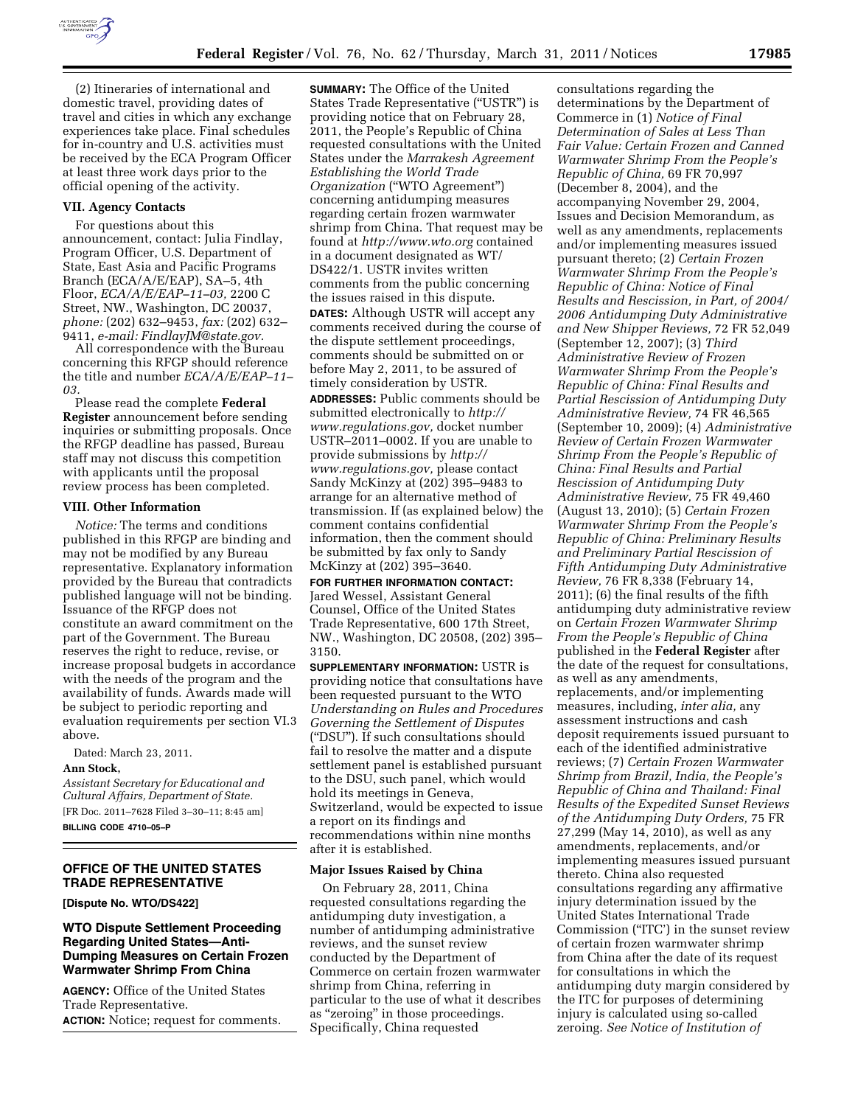

(2) Itineraries of international and domestic travel, providing dates of travel and cities in which any exchange experiences take place. Final schedules for in-country and U.S. activities must be received by the ECA Program Officer at least three work days prior to the official opening of the activity.

### **VII. Agency Contacts**

For questions about this announcement, contact: Julia Findlay, Program Officer, U.S. Department of State, East Asia and Pacific Programs Branch (ECA/A/E/EAP), SA–5, 4th Floor, *ECA/A/E/EAP–11–03,* 2200 C Street, NW., Washington, DC 20037, *phone:* (202) 632–9453, *fax:* (202) 632– 9411, *e-mail: [FindlayJM@state.gov.](mailto:FindlayJM@state.gov)* 

All correspondence with the Bureau concerning this RFGP should reference the title and number *ECA/A/E/EAP–11– 03.* 

Please read the complete **Federal Register** announcement before sending inquiries or submitting proposals. Once the RFGP deadline has passed, Bureau staff may not discuss this competition with applicants until the proposal review process has been completed.

#### **VIII. Other Information**

*Notice:* The terms and conditions published in this RFGP are binding and may not be modified by any Bureau representative. Explanatory information provided by the Bureau that contradicts published language will not be binding. Issuance of the RFGP does not constitute an award commitment on the part of the Government. The Bureau reserves the right to reduce, revise, or increase proposal budgets in accordance with the needs of the program and the availability of funds. Awards made will be subject to periodic reporting and evaluation requirements per section VI.3 above.

Dated: March 23, 2011.

#### **Ann Stock,**

*Assistant Secretary for Educational and Cultural Affairs, Department of State.*  [FR Doc. 2011–7628 Filed 3–30–11; 8:45 am] **BILLING CODE 4710–05–P** 

# **OFFICE OF THE UNITED STATES TRADE REPRESENTATIVE**

**[Dispute No. WTO/DS422]** 

## **WTO Dispute Settlement Proceeding Regarding United States—Anti-Dumping Measures on Certain Frozen Warmwater Shrimp From China**

**AGENCY:** Office of the United States Trade Representative. **ACTION:** Notice; request for comments.

**SUMMARY:** The Office of the United States Trade Representative (''USTR'') is providing notice that on February 28, 2011, the People's Republic of China requested consultations with the United States under the *Marrakesh Agreement Establishing the World Trade Organization ("WTO Agreement")* concerning antidumping measures regarding certain frozen warmwater shrimp from China. That request may be found at *<http://www.wto.org>*contained in a document designated as WT/ DS422/1. USTR invites written comments from the public concerning the issues raised in this dispute. **DATES:** Although USTR will accept any comments received during the course of the dispute settlement proceedings, comments should be submitted on or before May 2, 2011, to be assured of timely consideration by USTR.

**ADDRESSES:** Public comments should be submitted electronically to *[http://](http://www.regulations.gov)  [www.regulations.gov,](http://www.regulations.gov)* docket number USTR–2011–0002. If you are unable to provide submissions by *[http://](http://www.regulations.gov)  [www.regulations.gov,](http://www.regulations.gov)* please contact Sandy McKinzy at (202) 395–9483 to arrange for an alternative method of transmission. If (as explained below) the comment contains confidential information, then the comment should be submitted by fax only to Sandy McKinzy at (202) 395–3640.

**FOR FURTHER INFORMATION CONTACT:**  Jared Wessel, Assistant General Counsel, Office of the United States Trade Representative, 600 17th Street, NW., Washington, DC 20508, (202) 395– 3150.

**SUPPLEMENTARY INFORMATION:** USTR is providing notice that consultations have been requested pursuant to the WTO *Understanding on Rules and Procedures Governing the Settlement of Disputes*  (''DSU''). If such consultations should fail to resolve the matter and a dispute settlement panel is established pursuant to the DSU, such panel, which would hold its meetings in Geneva, Switzerland, would be expected to issue a report on its findings and recommendations within nine months after it is established.

#### **Major Issues Raised by China**

On February 28, 2011, China requested consultations regarding the antidumping duty investigation, a number of antidumping administrative reviews, and the sunset review conducted by the Department of Commerce on certain frozen warmwater shrimp from China, referring in particular to the use of what it describes as ''zeroing'' in those proceedings. Specifically, China requested

consultations regarding the determinations by the Department of Commerce in (1) *Notice of Final Determination of Sales at Less Than Fair Value: Certain Frozen and Canned Warmwater Shrimp From the People's Republic of China,* 69 FR 70,997 (December 8, 2004), and the accompanying November 29, 2004, Issues and Decision Memorandum, as well as any amendments, replacements and/or implementing measures issued pursuant thereto; (2) *Certain Frozen Warmwater Shrimp From the People's Republic of China: Notice of Final Results and Rescission, in Part, of 2004/ 2006 Antidumping Duty Administrative and New Shipper Reviews,* 72 FR 52,049 (September 12, 2007); (3) *Third Administrative Review of Frozen Warmwater Shrimp From the People's Republic of China: Final Results and Partial Rescission of Antidumping Duty Administrative Review,* 74 FR 46,565 (September 10, 2009); (4) *Administrative Review of Certain Frozen Warmwater Shrimp From the People's Republic of China: Final Results and Partial Rescission of Antidumping Duty Administrative Review,* 75 FR 49,460 (August 13, 2010); (5) *Certain Frozen Warmwater Shrimp From the People's Republic of China: Preliminary Results and Preliminary Partial Rescission of Fifth Antidumping Duty Administrative Review,* 76 FR 8,338 (February 14, 2011); (6) the final results of the fifth antidumping duty administrative review on *Certain Frozen Warmwater Shrimp From the People's Republic of China*  published in the **Federal Register** after the date of the request for consultations, as well as any amendments, replacements, and/or implementing measures, including, *inter alia,* any assessment instructions and cash deposit requirements issued pursuant to each of the identified administrative reviews; (7) *Certain Frozen Warmwater Shrimp from Brazil, India, the People's Republic of China and Thailand: Final Results of the Expedited Sunset Reviews of the Antidumping Duty Orders,* 75 FR 27,299 (May 14, 2010), as well as any amendments, replacements, and/or implementing measures issued pursuant thereto. China also requested consultations regarding any affirmative injury determination issued by the United States International Trade Commission (''ITC') in the sunset review of certain frozen warmwater shrimp from China after the date of its request for consultations in which the antidumping duty margin considered by the ITC for purposes of determining injury is calculated using so-called zeroing. *See Notice of Institution of*